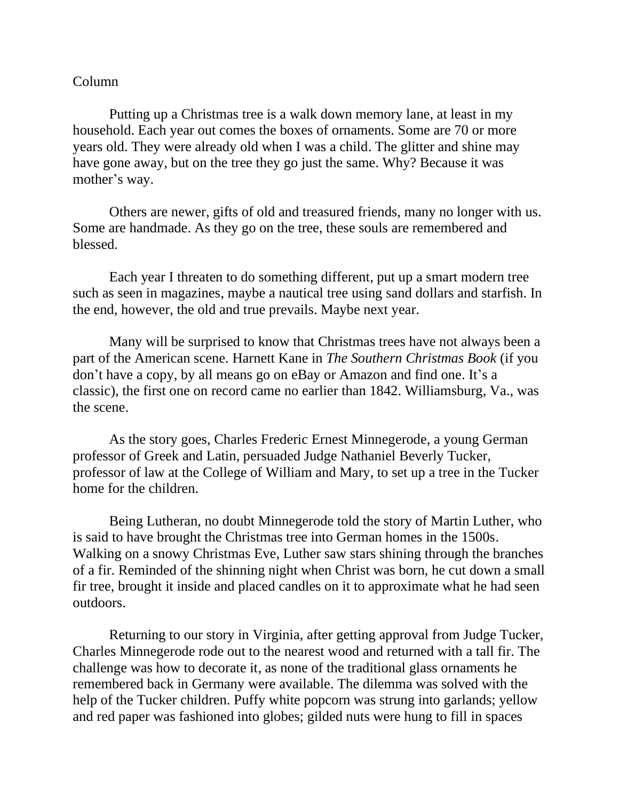## Column

Putting up a Christmas tree is a walk down memory lane, at least in my household. Each year out comes the boxes of ornaments. Some are 70 or more years old. They were already old when I was a child. The glitter and shine may have gone away, but on the tree they go just the same. Why? Because it was mother's way.

Others are newer, gifts of old and treasured friends, many no longer with us. Some are handmade. As they go on the tree, these souls are remembered and blessed.

Each year I threaten to do something different, put up a smart modern tree such as seen in magazines, maybe a nautical tree using sand dollars and starfish. In the end, however, the old and true prevails. Maybe next year.

Many will be surprised to know that Christmas trees have not always been a part of the American scene. Harnett Kane in *The Southern Christmas Book* (if you don't have a copy, by all means go on eBay or Amazon and find one. It's a classic), the first one on record came no earlier than 1842. Williamsburg, Va., was the scene.

As the story goes, Charles Frederic Ernest Minnegerode, a young German professor of Greek and Latin, persuaded Judge Nathaniel Beverly Tucker, professor of law at the College of William and Mary, to set up a tree in the Tucker home for the children.

Being Lutheran, no doubt Minnegerode told the story of Martin Luther, who is said to have brought the Christmas tree into German homes in the 1500s. Walking on a snowy Christmas Eve, Luther saw stars shining through the branches of a fir. Reminded of the shinning night when Christ was born, he cut down a small fir tree, brought it inside and placed candles on it to approximate what he had seen outdoors.

Returning to our story in Virginia, after getting approval from Judge Tucker, Charles Minnegerode rode out to the nearest wood and returned with a tall fir. The challenge was how to decorate it, as none of the traditional glass ornaments he remembered back in Germany were available. The dilemma was solved with the help of the Tucker children. Puffy white popcorn was strung into garlands; yellow and red paper was fashioned into globes; gilded nuts were hung to fill in spaces